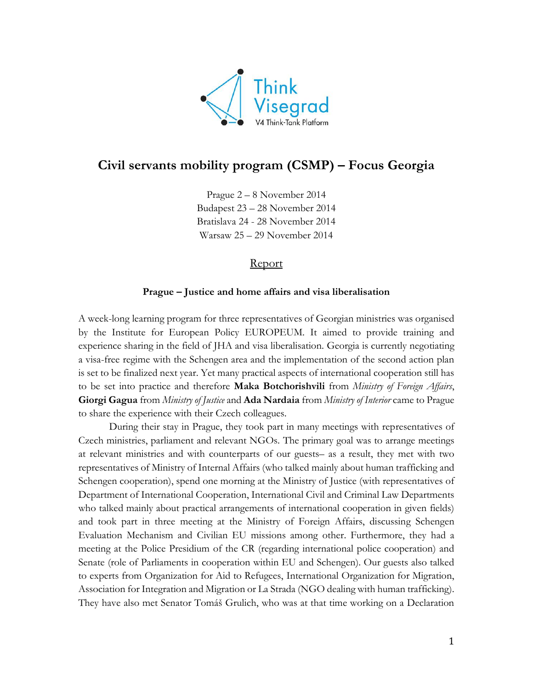

# **Civil servants mobility program (CSMP) – Focus Georgia**

Prague 2 – 8 November 2014 Budapest 23 – 28 November 2014 Bratislava 24 - 28 November 2014 Warsaw 25 – 29 November 2014

### Report

#### **Prague – Justice and home affairs and visa liberalisation**

A week-long learning program for three representatives of Georgian ministries was organised by the Institute for European Policy EUROPEUM. It aimed to provide training and experience sharing in the field of JHA and visa liberalisation. Georgia is currently negotiating a visa-free regime with the Schengen area and the implementation of the second action plan is set to be finalized next year. Yet many practical aspects of international cooperation still has to be set into practice and therefore **Maka Botchorishvili** from *Ministry of Foreign Affairs*, **Giorgi Gagua** from *Ministry of Justice* and **Ada Nardaia** from *Ministry of Interior* came to Prague to share the experience with their Czech colleagues.

During their stay in Prague, they took part in many meetings with representatives of Czech ministries, parliament and relevant NGOs. The primary goal was to arrange meetings at relevant ministries and with counterparts of our guests– as a result, they met with two representatives of Ministry of Internal Affairs (who talked mainly about human trafficking and Schengen cooperation), spend one morning at the Ministry of Justice (with representatives of Department of International Cooperation, International Civil and Criminal Law Departments who talked mainly about practical arrangements of international cooperation in given fields) and took part in three meeting at the Ministry of Foreign Affairs, discussing Schengen Evaluation Mechanism and Civilian EU missions among other. Furthermore, they had a meeting at the Police Presidium of the CR (regarding international police cooperation) and Senate (role of Parliaments in cooperation within EU and Schengen). Our guests also talked to experts from Organization for Aid to Refugees, International Organization for Migration, Association for Integration and Migration or La Strada (NGO dealing with human trafficking). They have also met Senator Tomáš Grulich, who was at that time working on a Declaration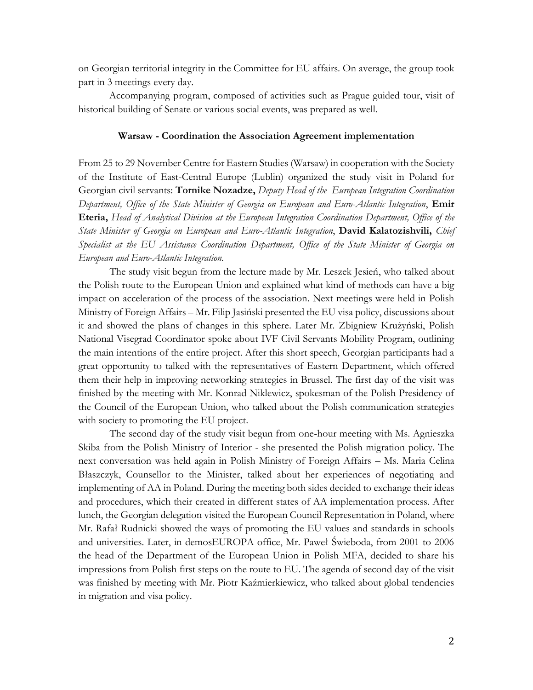on Georgian territorial integrity in the Committee for EU affairs. On average, the group took part in 3 meetings every day.

Accompanying program, composed of activities such as Prague guided tour, visit of historical building of Senate or various social events, was prepared as well.

#### **Warsaw - Coordination the Association Agreement implementation**

From 25 to 29 November Centre for Eastern Studies (Warsaw) in cooperation with the Society of the Institute of East-Central Europe (Lublin) organized the study visit in Poland for Georgian civil servants: **Tornike Nozadze,** *Deputy Head of the European Integration Coordination Department, Office of the State Minister of Georgia on European and Euro-Atlantic Integration*, **Emir Eteria,** *Head of Analytical Division at the European Integration Coordination Department, Office of the State Minister of Georgia on European and Euro-Atlantic Integration*, **David Kalatozishvili,** *Chief Specialist at the EU Assistance Coordination Department, Office of the State Minister of Georgia on European and Euro-Atlantic Integration.* 

The study visit begun from the lecture made by Mr. Leszek Jesień, who talked about the Polish route to the European Union and explained what kind of methods can have a big impact on acceleration of the process of the association. Next meetings were held in Polish Ministry of Foreign Affairs – Mr. Filip Jasiński presented the EU visa policy, discussions about it and showed the plans of changes in this sphere. Later Mr. Zbigniew Krużyński, Polish National Visegrad Coordinator spoke about IVF Civil Servants Mobility Program, outlining the main intentions of the entire project. After this short speech, Georgian participants had a great opportunity to talked with the representatives of Eastern Department, which offered them their help in improving networking strategies in Brussel. The first day of the visit was finished by the meeting with Mr. Konrad Niklewicz, spokesman of the Polish Presidency of the Council of the European Union, who talked about the Polish communication strategies with society to promoting the EU project.

The second day of the study visit begun from one-hour meeting with Ms. Agnieszka Skiba from the Polish Ministry of Interior - she presented the Polish migration policy. The next conversation was held again in Polish Ministry of Foreign Affairs – Ms. Maria Celina Błaszczyk, Counsellor to the Minister, talked about her experiences of negotiating and implementing of AA in Poland. During the meeting both sides decided to exchange their ideas and procedures, which their created in different states of AA implementation process. After lunch, the Georgian delegation visited the European Council Representation in Poland, where Mr. Rafał Rudnicki showed the ways of promoting the EU values and standards in schools and universities. Later, in demosEUROPA office, Mr. Paweł Świeboda, from 2001 to 2006 the head of the Department of the European Union in Polish MFA, decided to share his impressions from Polish first steps on the route to EU. The agenda of second day of the visit was finished by meeting with Mr. Piotr Kaźmierkiewicz, who talked about global tendencies in migration and visa policy.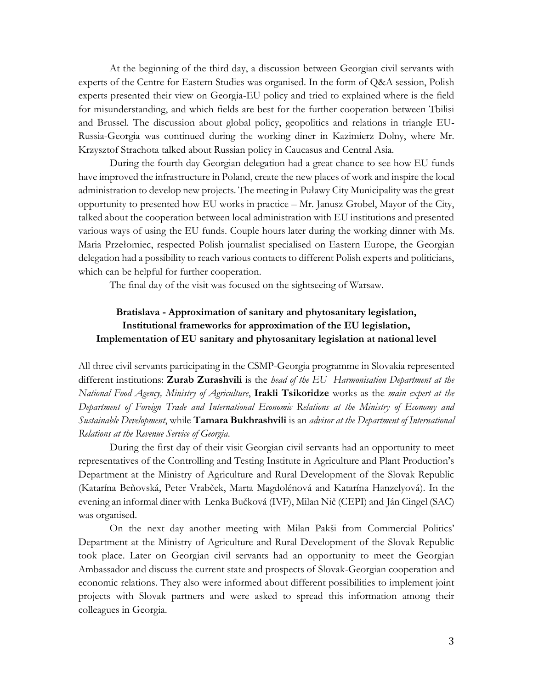At the beginning of the third day, a discussion between Georgian civil servants with experts of the Centre for Eastern Studies was organised. In the form of Q&A session, Polish experts presented their view on Georgia-EU policy and tried to explained where is the field for misunderstanding, and which fields are best for the further cooperation between Tbilisi and Brussel. The discussion about global policy, geopolitics and relations in triangle EU-Russia-Georgia was continued during the working diner in Kazimierz Dolny, where Mr. Krzysztof Strachota talked about Russian policy in Caucasus and Central Asia.

During the fourth day Georgian delegation had a great chance to see how EU funds have improved the infrastructure in Poland, create the new places of work and inspire the local administration to develop new projects. The meeting in Puławy City Municipality was the great opportunity to presented how EU works in practice – Mr. Janusz Grobel, Mayor of the City, talked about the cooperation between local administration with EU institutions and presented various ways of using the EU funds. Couple hours later during the working dinner with Ms. Maria Przełomiec, respected Polish journalist specialised on Eastern Europe, the Georgian delegation had a possibility to reach various contacts to different Polish experts and politicians, which can be helpful for further cooperation.

The final day of the visit was focused on the sightseeing of Warsaw.

## **Bratislava - Approximation of sanitary and phytosanitary legislation, Institutional frameworks for approximation of the EU legislation, Implementation of EU sanitary and phytosanitary legislation at national level**

All three civil servants participating in the CSMP-Georgia programme in Slovakia represented different institutions: **Zurab Zurashvili** is the *head of the EU Harmonisation Department at the National Food Agency, Ministry of Agriculture*, **Irakli Tsikoridze** works as the *main expert at the Department of Foreign Trade and International Economic Relations at the Ministry of Economy and Sustainable Development*, while **Tamara Bukhrashvili** is an *advisor at the Department of International Relations at the Revenue Service of Georgia*.

During the first day of their visit Georgian civil servants had an opportunity to meet representatives of the Controlling and Testing Institute in Agriculture and Plant Production's Department at the Ministry of Agriculture and Rural Development of the Slovak Republic (Katarína Beňovská, Peter Vrabček, Marta Magdolénová and Katarína Hanzelyová). In the evening an informal diner with Lenka Bučková (IVF), Milan Nič (CEPI) and Ján Cingel (SAC) was organised.

On the next day another meeting with Milan Pakši from Commercial Politics' Department at the Ministry of Agriculture and Rural Development of the Slovak Republic took place. Later on Georgian civil servants had an opportunity to meet the Georgian Ambassador and discuss the current state and prospects of Slovak-Georgian cooperation and economic relations. They also were informed about different possibilities to implement joint projects with Slovak partners and were asked to spread this information among their colleagues in Georgia.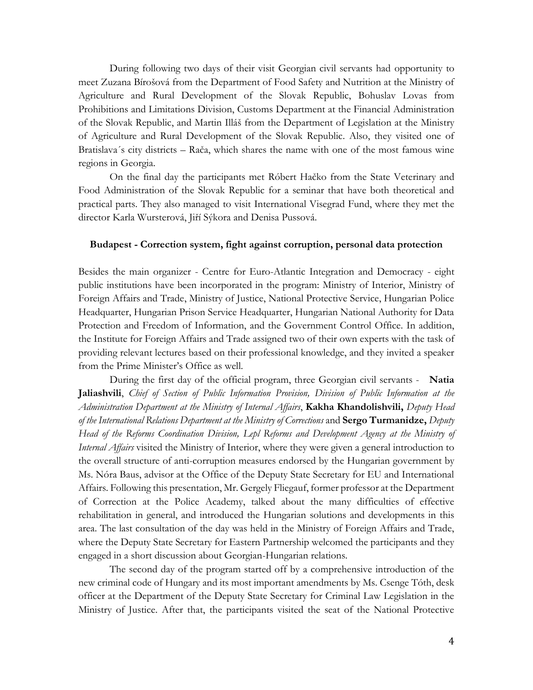During following two days of their visit Georgian civil servants had opportunity to meet Zuzana Bírošová from the Department of Food Safety and Nutrition at the Ministry of Agriculture and Rural Development of the Slovak Republic, Bohuslav Lovas from Prohibitions and Limitations Division, Customs Department at the Financial Administration of the Slovak Republic, and Martin Illáš from the Department of Legislation at the Ministry of Agriculture and Rural Development of the Slovak Republic. Also, they visited one of Bratislava´s city districts – Rača, which shares the name with one of the most famous wine regions in Georgia.

On the final day the participants met Róbert Hačko from the State Veterinary and Food Administration of the Slovak Republic for a seminar that have both theoretical and practical parts. They also managed to visit International Visegrad Fund, where they met the director Karla Wursterová, Jiří Sýkora and Denisa Pussová.

#### **Budapest - Correction system, fight against corruption, personal data protection**

Besides the main organizer - Centre for Euro-Atlantic Integration and Democracy - eight public institutions have been incorporated in the program: Ministry of Interior, Ministry of Foreign Affairs and Trade, Ministry of Justice, National Protective Service, Hungarian Police Headquarter, Hungarian Prison Service Headquarter, Hungarian National Authority for Data Protection and Freedom of Information, and the Government Control Office. In addition, the Institute for Foreign Affairs and Trade assigned two of their own experts with the task of providing relevant lectures based on their professional knowledge, and they invited a speaker from the Prime Minister's Office as well.

During the first day of the official program, three Georgian civil servants - **Natia Jaliashvili**, *Chief of Section of Public Information Provision, Division of Public Information at the Administration Department at the Ministry of Internal Affairs*, **Kakha Khandolishvili,** *Deputy Head of the International Relations Department at the Ministry of Corrections* and **Sergo Turmanidze,** *Deputy Head of the Reforms Coordination Division, Lepl Reforms and Development Agency at the Ministry of Internal Affairs* visited the Ministry of Interior, where they were given a general introduction to the overall structure of anti-corruption measures endorsed by the Hungarian government by Ms. Nóra Baus, advisor at the Office of the Deputy State Secretary for EU and International Affairs. Following this presentation, Mr. Gergely Fliegauf, former professor at the Department of Correction at the Police Academy, talked about the many difficulties of effective rehabilitation in general, and introduced the Hungarian solutions and developments in this area. The last consultation of the day was held in the Ministry of Foreign Affairs and Trade, where the Deputy State Secretary for Eastern Partnership welcomed the participants and they engaged in a short discussion about Georgian-Hungarian relations.

The second day of the program started off by a comprehensive introduction of the new criminal code of Hungary and its most important amendments by Ms. Csenge Tóth, desk officer at the Department of the Deputy State Secretary for Criminal Law Legislation in the Ministry of Justice. After that, the participants visited the seat of the National Protective